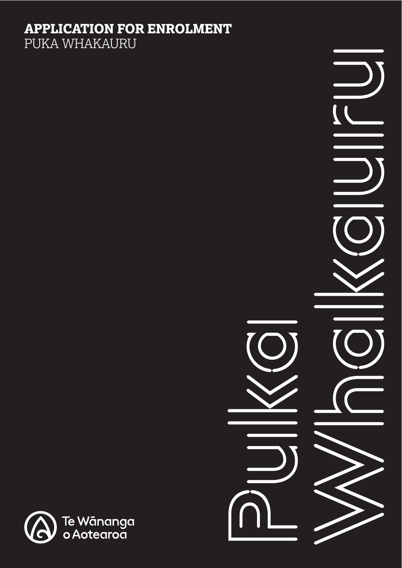# **APPLICATION FOR ENROLMENT**

PUKA WHAKAURU



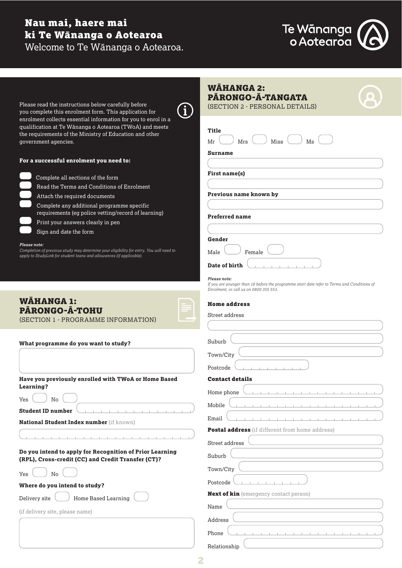## Nau mai, haere mai ki Te Wānanga o Aotearoa Welcome to Te Wānanga o Aotearoa.



| Please read the instructions below carefully before<br>0<br>you complete this enrolment form. This application for                                                                                           | <b>WAHANGA 2:</b><br>PĀRONGO-Ā-TANGATA<br>(SECTION 2 - PERSONAL DETAILS)                                                              |
|--------------------------------------------------------------------------------------------------------------------------------------------------------------------------------------------------------------|---------------------------------------------------------------------------------------------------------------------------------------|
| enrolment collects essential information for you to enrol in a<br>qualification at Te Wānanga o Aotearoa (TWoA) and meets<br>the requirements of the Ministry of Education and other<br>government agencies. | <b>Title</b><br>Miss<br>Mr<br>Mrs<br>Ms                                                                                               |
| For a successful enrolment you need to:                                                                                                                                                                      | Surname                                                                                                                               |
| Complete all sections of the form                                                                                                                                                                            | First name(s)                                                                                                                         |
| Read the Terms and Conditions of Enrolment                                                                                                                                                                   |                                                                                                                                       |
| Attach the required documents                                                                                                                                                                                | Previous name known by                                                                                                                |
| Complete any additional programme specific                                                                                                                                                                   |                                                                                                                                       |
| requirements (eg police vetting/record of learning)<br>Print your answers clearly in pen                                                                                                                     | <b>Preferred name</b>                                                                                                                 |
| Sign and date the form                                                                                                                                                                                       |                                                                                                                                       |
| Please note:                                                                                                                                                                                                 | Gender                                                                                                                                |
| Completion of previous study may determine your eligibility for entry. You will need to<br>apply to StudyLink for student loans and allowances (if applicable).                                              | Male<br>Female                                                                                                                        |
|                                                                                                                                                                                                              | Date of birth                                                                                                                         |
|                                                                                                                                                                                                              | Please note:                                                                                                                          |
|                                                                                                                                                                                                              | If you are younger than 18 before the programme start date refer to Terms and Conditions of<br>Enrolment, or call us on 0800 355 553. |
| <b>WAHANGA 1:</b>                                                                                                                                                                                            |                                                                                                                                       |
| <b>PARONGO-A-TOHU</b>                                                                                                                                                                                        | <b>Home address</b>                                                                                                                   |
| (SECTION 1 - PROGRAMME INFORMATION)                                                                                                                                                                          | Street address                                                                                                                        |
|                                                                                                                                                                                                              |                                                                                                                                       |
| What programme do you want to study?                                                                                                                                                                         | Suburb                                                                                                                                |
|                                                                                                                                                                                                              | Town/City                                                                                                                             |
|                                                                                                                                                                                                              | Postcode                                                                                                                              |
| Have you previously enrolled with TWoA or Home Based                                                                                                                                                         | <b>Contact details</b>                                                                                                                |
| Learning?                                                                                                                                                                                                    | Home phone                                                                                                                            |
| Yes<br>No                                                                                                                                                                                                    | Mobile                                                                                                                                |
| <b>Student ID number</b>                                                                                                                                                                                     | Email                                                                                                                                 |
| National Student Index number (if known)                                                                                                                                                                     | <b>Postal address</b> (if different from home address)                                                                                |
|                                                                                                                                                                                                              | Street address                                                                                                                        |
| Do you intend to apply for Recognition of Prior Learning<br>(RPL), Cross-credit (CC) and Credit Transfer (CT)?                                                                                               | Suburb                                                                                                                                |
|                                                                                                                                                                                                              | Town/City                                                                                                                             |
| No<br>Yes                                                                                                                                                                                                    | Postcode                                                                                                                              |
| Where do you intend to study?                                                                                                                                                                                | <b>Next of kin</b> (emergency contact person)                                                                                         |
| Home Based Learning<br>Delivery site                                                                                                                                                                         | Name                                                                                                                                  |
| (if delivery site, please name)                                                                                                                                                                              |                                                                                                                                       |
|                                                                                                                                                                                                              | Address                                                                                                                               |
|                                                                                                                                                                                                              | Phone                                                                                                                                 |
|                                                                                                                                                                                                              | Relationship                                                                                                                          |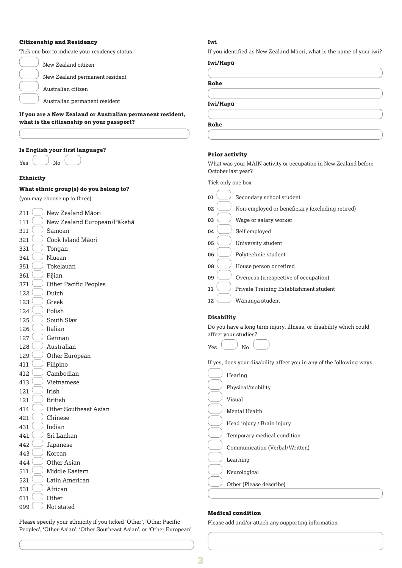#### Citizenship and Residency

Tick one box to indicate your residency status.

| New Zealand citizen |
|---------------------|
|---------------------|

New Zealand permanent resident

Australian citizen

Australian permanent resident

#### **If you are a New Zealand or Australian permanent resident, what is the citizenship on your passport?**

#### **Is English your first language?**

| Yes |  | No |  |
|-----|--|----|--|

#### **Ethnicity**

#### **What ethnic group(s) do you belong to?**

| 211 | New Zealand Māori            |
|-----|------------------------------|
| 111 | New Zealand European/Pāke    |
| 311 | Samoan                       |
| 321 | Cook Island Māori            |
| 331 | Tongan                       |
| 341 | Niuean                       |
| 351 | Tokelauan                    |
| 361 | Fijian                       |
| 371 | <b>Other Pacific Peoples</b> |
| 122 | Dutch                        |
| 123 | Greek                        |
| 124 | Polish                       |
| 125 | South Slav                   |
| 126 | Italian                      |
| 127 | German                       |
| 128 | Australian                   |
| 129 | Other European               |
| 411 | Filipino                     |
| 412 | Cambodian                    |
| 413 | Vietnamese                   |
| 121 | Irish                        |
| 121 | British                      |
| 414 | Other Southeast Asian        |
| 421 | Chinese                      |
| 431 | Indian                       |
| 441 | Sri Lankan                   |
| 442 | Japanese                     |
| 443 | Korean                       |
| 444 | Other Asian                  |
| 511 | Middle Eastern               |
| 521 | Latin American               |
| 531 | African                      |
| 611 | Other                        |
| 999 | Not stated                   |

#### **Iwi**

If you identified as New Zealand Māori, what is the name of your iwi?

**Rohe** 

**Iwi/Hapū**

| $\frac{1}{2}$        |  |
|----------------------|--|
|                      |  |
|                      |  |
| v.<br>۰.<br>M.<br>۰. |  |

#### Prior activity

What was your MAIN activity or occupation in New Zealand before October last year?

Tick only one box

| (you may choose up to three)        | Secondary school student<br>01                                        |
|-------------------------------------|-----------------------------------------------------------------------|
| New Zealand Māori<br>211            | Non-employed or beneficiary (excluding retired)<br>02                 |
| 111<br>New Zealand European/Pākehā  | Wage or salary worker<br>03                                           |
| 311<br>Samoan                       | 04<br>Self employed                                                   |
| Cook Island Māori<br>321            |                                                                       |
| 331<br>Tongan                       | 05<br>University student                                              |
| Niuean<br>341                       | 06<br>Polytechnic student                                             |
| 351<br>Tokelauan                    | House person or retired<br>08                                         |
| 361<br>Fijian                       | 09<br>Overseas (irrespective of occupation)                           |
| <b>Other Pacific Peoples</b><br>371 |                                                                       |
| 122<br>Dutch                        | Private Training Establishment student<br>11                          |
| 123<br>Greek                        | 12<br>Wānanga student                                                 |
| Polish<br>124                       |                                                                       |
| South Slav<br>125                   | <b>Disability</b>                                                     |
| Italian<br>126                      | Do you have a long term injury, illness, or disability which could    |
| 127<br>German                       | affect your studies?                                                  |
| Australian<br>128                   | No<br>Yes                                                             |
| 129<br>Other European               |                                                                       |
| Filipino<br>411                     | If yes, does your disability affect you in any of the following ways: |
| Cambodian<br>412                    | Hearing                                                               |
| 413<br>Vietnamese                   | Physical/mobility                                                     |
| Irish<br>121                        |                                                                       |
| 121<br><b>British</b>               | Visual                                                                |
| <b>Other Southeast Asian</b><br>414 | Mental Health                                                         |
| Chinese<br>421                      |                                                                       |
| Indian<br>431                       | Head injury / Brain injury                                            |
| Sri Lankan<br>441                   | Temporary medical condition                                           |
| 442<br>Japanese                     | Communication (Verbal/Written)                                        |
| Korean<br>443                       |                                                                       |
| Other Asian<br>444                  | Learning                                                              |
| Middle Eastern<br>511               | Neurological                                                          |
| 521<br>Latin American               | Other (Please describe)                                               |
| African<br>531                      |                                                                       |
| Other<br>611                        |                                                                       |
| $- - -$                             |                                                                       |

Please specify your ethnicity if you ticked 'Other', 'Other Pacific Peoples', 'Other Asian', 'Other Southeast Asian', or 'Other European'.

#### Medical condition

Please add and/or attach any supporting information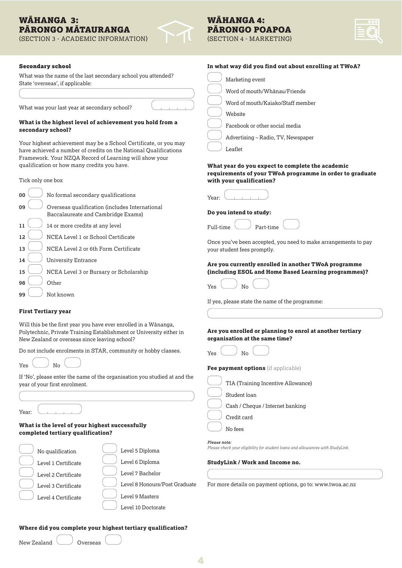### WĀHANGA 3: PĀRONGO MĀTAURANGA

(SECTION 3 - ACADEMIC INFORMATION) (SECTION 4 - MARKETING)

### WĀHANGA 4: PĀRONGO POAPOA

#### Secondary school

What was the name of the last secondary school you attended? State 'overseas', if applicable:

What was your last year at secondary school?

#### **What is the highest level of achievement you hold from a secondary school?**

Your highest achievement may be a School Certificate, or you may have achieved a number of credits on the National Qualifications Framework. Your NZQA Record of Learning will show your qualification or how many credits you have.

Tick only one box

| 00  | No formal secondary qualifications                                                   |
|-----|--------------------------------------------------------------------------------------|
| 09  | Overseas qualification (includes International<br>Baccalaureate and Cambridge Exams) |
| 11  | 14 or more credits at any level                                                      |
| 12. | NCEA Level 1 or School Certificate                                                   |
| 13  | NCEA Level 2 or 6th Form Certificate                                                 |
| 14  | <b>University Entrance</b>                                                           |
| 15  | NCEA Level 3 or Bursary or Scholarship                                               |
| 98  | Other                                                                                |
| 99  | Not known                                                                            |

#### **First Tertiary year**

Will this be the first year you have ever enrolled in a Wānanga, Polytechnic, Private Training Establishment or University either in New Zealand or overseas since leaving school?

Do not include enrolments in STAR, community or hobby classes.



| If 'No', please enter the name of the organisation you studied at and the |
|---------------------------------------------------------------------------|
| year of your first enrolment.                                             |

Year:

#### **What is the level of your highest successfully completed tertiary qualification?**



### **Where did you complete your highest tertiary qualification?**

New Zealand Overseas

|  |  |  | In what way did you find out about enrolling at TWoA? |  |  |  |
|--|--|--|-------------------------------------------------------|--|--|--|
|  |  |  |                                                       |  |  |  |

- Marketing event
- Word of mouth/Whānau/Friends
- Word of mouth/Kaiako/Staff member
- Website
	- Facebook or other social media
	- Advertising Radio, TV, Newspaper



#### **What year do you expect to complete the academic requirements of your TWoA programme in order to graduate with your qualification?**

| Year: |  |  |  |
|-------|--|--|--|

#### **Do you intend to study:**

| Full-time |  | Part-time |
|-----------|--|-----------|

Once you've been accepted, you need to make arrangements to pay your student fees promptly.

#### **Are you currently enrolled in another TWoA programme (including ESOL and Home Based Learning programmes)?**

| Yes |  | No |  |
|-----|--|----|--|

If yes, please state the name of the programme:

**Are you enrolled or planning to enrol at another tertiary organisation at the same time?**

| Yes | No |  |
|-----|----|--|
|     |    |  |

**Fee payment options** (if applicable)

| TIA (Training Incentive Allowance) |
|------------------------------------|
| Student loan                       |
| Cash / Cheque / Internet banking   |
| Credit card                        |
| No fees                            |

#### *Please note:*

*Please check your eligibility for student loans and allowances with StudyLink.* 

#### **StudyLink / Work and Income no.**

For more details on payment options, go to: www.twoa.ac.nz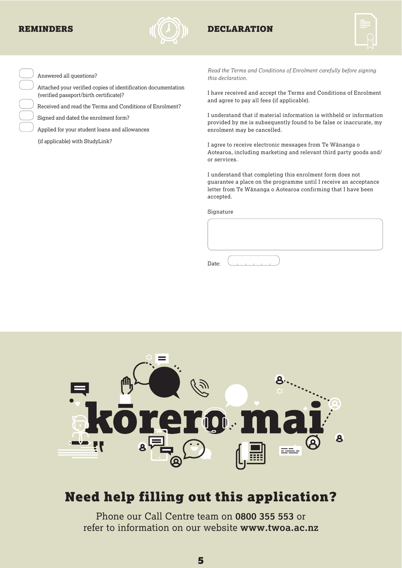

### REMINDERS  $\mathcal{U}(\ell_1)$  in Declaration



Answered all questions?

 Attached your verified copies of identification documentation (verified passport/birth certificate)?

Received and read the Terms and Conditions of Enrolment?

Signed and dated the enrolment form?

Applied for your student loans and allowances

(if applicable) with StudyLink?

*Read the Terms and Conditions of Enrolment carefully before signing this declaration.* 

I have received and accept the Terms and Conditions of Enrolment and agree to pay all fees (if applicable).

I understand that if material information is withheld or information provided by me is subsequently found to be false or inaccurate, my enrolment may be cancelled.

I agree to receive electronic messages from Te Wānanga o Aotearoa, including marketing and relevant third party goods and/ or services.

I understand that completing this enrolment form does not guarantee a place on the programme until I receive an acceptance letter from Te Wānanga o Aotearoa confirming that I have been accepted.

Signature

Date:



## Need help filling out this application?

Phone our Call Centre team on **0800 355 553** or refer to information on our website **www.twoa.ac.nz**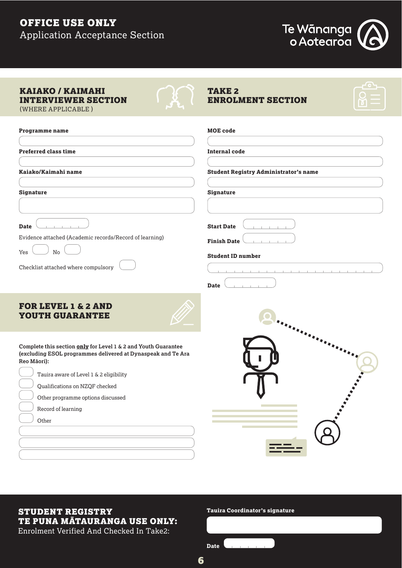## OFFICE USE ONLY Application Acceptance Section



| <b>KAIAKO / KAIMAHI</b><br><b>INTERVIEWER SECTION</b><br>(WHERE APPLICABLE)                                                                                                                                                                                                                    | <b>TAKE 2</b><br><b>ENROLMENT SECTION</b>                                          |
|------------------------------------------------------------------------------------------------------------------------------------------------------------------------------------------------------------------------------------------------------------------------------------------------|------------------------------------------------------------------------------------|
| <b>Programme name</b>                                                                                                                                                                                                                                                                          | <b>MOE</b> code                                                                    |
| <b>Preferred class time</b>                                                                                                                                                                                                                                                                    | <b>Internal code</b>                                                               |
| Kaiako/Kaimahi name                                                                                                                                                                                                                                                                            | <b>Student Registry Administrator's name</b>                                       |
| <b>Signature</b>                                                                                                                                                                                                                                                                               | <b>Signature</b>                                                                   |
| <b>Date</b><br>Evidence attached (Academic records/Record of learning)<br>No<br>Yes<br>Checklist attached where compulsory                                                                                                                                                                     | <b>Start Date</b><br><b>Finish Date</b><br><b>Student ID number</b><br><b>Date</b> |
| <b>FOR LEVEL 1 &amp; 2 AND</b><br><b>YOUTH GUARANTEE</b>                                                                                                                                                                                                                                       |                                                                                    |
| Complete this section only for Level 1 & 2 and Youth Guarantee<br>(excluding ESOL programmes delivered at Dynaspeak and Te Ara<br>Reo Māori):<br>Tauira aware of Level 1 & 2 eligibility<br>Qualifications on NZQF checked<br>Other programme options discussed<br>Record of learning<br>Other |                                                                                    |

### STUDENT REGISTRY TE PUNA MĀTAURANGA USE ONLY:

Enrolment Verified And Checked In Take2:

#### **Tauira Coordinator's signature**

| Date |  |  |  |  |
|------|--|--|--|--|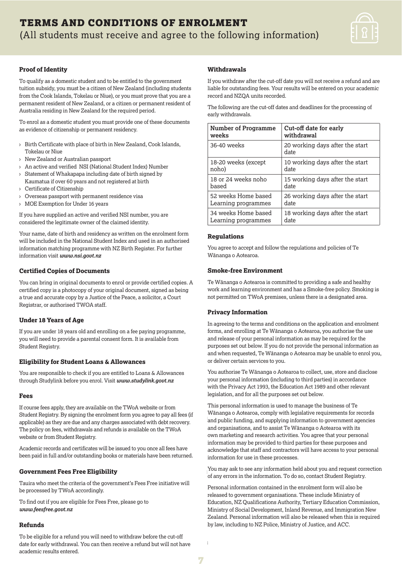

#### **Proof of Identity**

To qualify as a domestic student and to be entitled to the government tuition subsidy, you must be a citizen of New Zealand (including students from the Cook Islands, Tokelau or Niue), or you must prove that you are a permanent resident of New Zealand, or a citizen or permanent resident of Australia residing in New Zealand for the required period.

To enrol as a domestic student you must provide one of these documents as evidence of citizenship or permanent residency.

- › Birth Certificate with place of birth in New Zealand, Cook Islands, Tokelau or Niue
- › New Zealand or Australian passport
- › An active and verified NSI (National Student Index) Number
- › Statement of Whakapapa including date of birth signed by Kaumatua if over 60 years and not registered at birth
- › Certificate of Citizenship
- Overseas passport with permanent residence visa
- › MOE Exemption for Under 16 years

If you have supplied an active and verified NSI number, you are considered the legitimate owner of the claimed identity.

Your name, date of birth and residency as written on the enrolment form will be included in the National Student Index and used in an authorised information matching programme with NZ Birth Register. For further information visit *www.nsi.govt.nz*

#### **Certified Copies of Documents**

You can bring in original documents to enrol or provide certified copies. A certified copy is a photocopy of your original document, signed as being a true and accurate copy by a Justice of the Peace, a solicitor, a Court Registrar, or authorised TWOA staff.

#### **Under 18 Years of Age**

If you are under 18 years old and enrolling on a fee paying programme, you will need to provide a parental consent form. It is available from Student Registry.

#### **Eligibility for Student Loans & Allowances**

You are responsible to check if you are entitled to Loans & Allowances through Studylink before you enrol. Visit *www.studylink.govt.nz* 

#### **Fees**

If course fees apply, they are available on the TWoA website or from Student Registry. By signing the enrolment form you agree to pay all fees (if applicable) as they are due and any charges associated with debt recovery. The policy on fees, withdrawals and refunds is available on the TWoA website or from Student Registry.

Academic records and certificates will be issued to you once all fees have been paid in full and/or outstanding books or materials have been returned.

#### **Government Fees Free Eligibility**

Tauira who meet the criteria of the government's Fees Free initiative will be processed by TWoA accordingly.

To find out if you are eligible for Fees Free, please go to *www.feesfree.govt.nz*

#### **Refunds**

To be eligible for a refund you will need to withdraw before the cut-off date for early withdrawal. You can then receive a refund but will not have academic results entered.

#### **Withdrawals**

If you withdraw after the cut-off date you will not receive a refund and are liable for outstanding fees. Your results will be entered on your academic record and NZQA units recorded.

The following are the cut-off dates and deadlines for the processing of early withdrawals.

| <b>Number of Programme</b> | Cut-off date for early                  |
|----------------------------|-----------------------------------------|
| weeks                      | withdrawal                              |
| 36-40 weeks                | 20 working days after the start<br>date |
| 18-20 weeks (except        | 10 working days after the start         |
| noho)                      | date                                    |
| 18 or 24 weeks noho        | 15 working days after the start         |
| based                      | date                                    |
| 52 weeks Home based        | 26 working days after the start         |
| Learning programmes        | date                                    |
| 34 weeks Home based        | 18 working days after the start         |
| Learning programmes        | date                                    |

#### **Regulations**

You agree to accept and follow the regulations and policies of Te Wānanga o Aotearoa.

#### **Smoke-free Environment**

Te Wānanga o Aotearoa is committed to providing a safe and healthy work and learning environment and has a Smoke-free policy. Smoking is not permitted on TWoA premises, unless there is a designated area.

#### **Privacy Information**

In agreeing to the terms and conditions on the application and enrolment forms, and enrolling at Te Wānanga o Aotearoa, you authorise the use and release of your personal information as may be required for the purposes set out below. If you do not provide the personal information as and when requested, Te Wānanga o Aotearoa may be unable to enrol you, or deliver certain services to you.

You authorise Te Wānanga o Aotearoa to collect, use, store and disclose your personal information (including to third parties) in accordance with the Privacy Act 1993, the Education Act 1989 and other relevant legislation, and for all the purposes set out below.

This personal information is used to manage the business of Te Wānanga o Aotearoa, comply with legislative requirements for records and public funding, and supplying information to government agencies and organisations, and to assist Te Wānanga o Aotearoa with its own marketing and research activities. You agree that your personal information may be provided to third parties for these purposes and acknowledge that staff and contractors will have access to your personal information for use in these processes.

You may ask to see any information held about you and request correction of any errors in the information. To do so, contact Student Registry.

Personal information contained in the enrolment form will also be released to government organisations. These include Ministry of Education, NZ Qualifications Authority, Tertiary Education Commission, Ministry of Social Development, Inland Revenue, and Immigration New Zealand. Personal information will also be released when this is required by law, including to NZ Police, Ministry of Justice, and ACC.

 $\overline{z}$